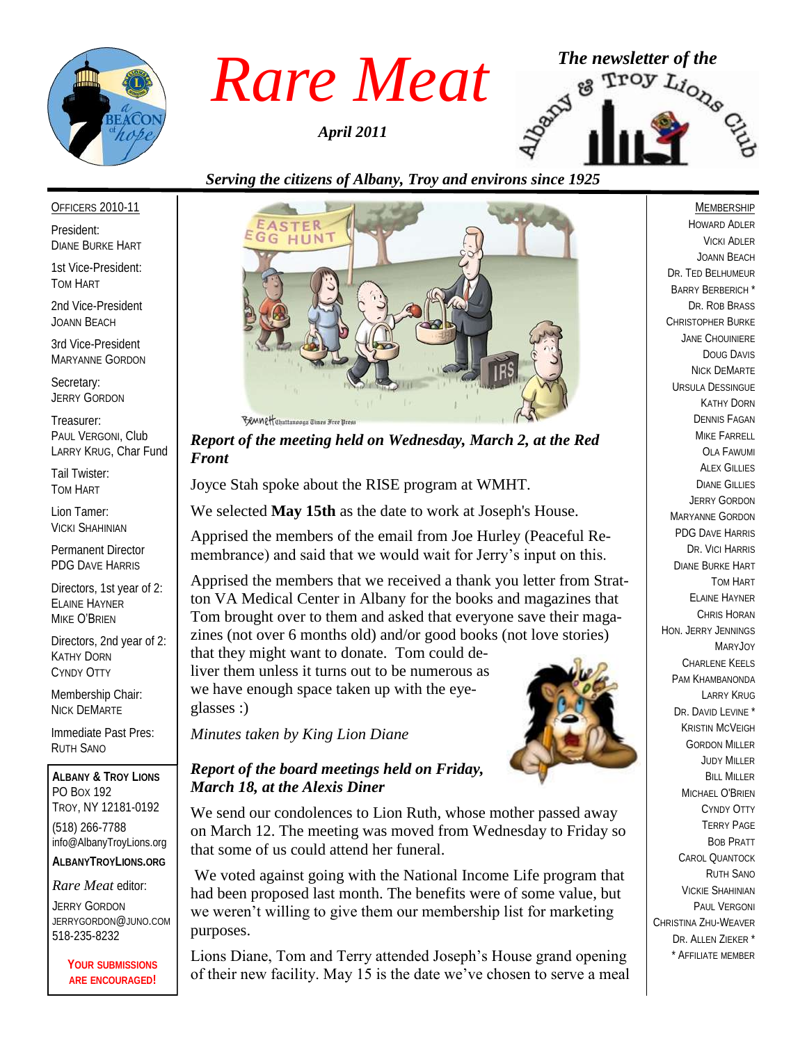

*April 2011*



### *Serving the citizens of Albany, Troy and environs since 1925*

#### OFFICERS 2010-11

President: DIANE BURKE HART

1st Vice-President: TOM HART

2nd Vice-President JOANN BEACH

3rd Vice-President MARYANNE GORDON

Secretary: JERRY GORDON

Treasurer: PAUL VERGONI, Club LARRY KRUG, Char Fund

Tail Twister: TOM HART

Lion Tamer: VICKI SHAHINIAN

Permanent Director PDG DAVE HARRIS

Directors, 1st year of 2: ELAINE HAYNER MIKE O'BRIEN

Directors, 2nd year of 2: KATHY DORN CYNDY OTTY

Membership Chair: NICK DEMARTE

Immediate Past Pres: RUTH SANO

**ALBANY & TROY LIONS** PO BOX 192 TROY, NY 12181-0192 (518) 266-7788 info@AlbanyTroyLions.org **ALBANYTROYLIONS.ORG**

#### *Rare Meat* editor:

JERRY GORDON JERRYGORDON@JUNO.COM 518-235-8232

> **YOUR SUBMISSIONS ARE ENCOURAGED!**



*Report of the meeting held on Wednesday, March 2, at the Red Front*

Joyce Stah spoke about the RISE program at WMHT.

We selected **May 15th** as the date to work at Joseph's House.

Apprised the members of the email from Joe Hurley (Peaceful Remembrance) and said that we would wait for Jerry's input on this.

Apprised the members that we received a thank you letter from Stratton VA Medical Center in Albany for the books and magazines that Tom brought over to them and asked that everyone save their magazines (not over 6 months old) and/or good books (not love stories)

that they might want to donate. Tom could deliver them unless it turns out to be numerous as we have enough space taken up with the eyeglasses :)

*Minutes taken by King Lion Diane*

#### *Report of the board meetings held on Friday, March 18, at the Alexis Diner*

We send our condolences to Lion Ruth, whose mother passed away on March 12. The meeting was moved from Wednesday to Friday so that some of us could attend her funeral.

We voted against going with the National Income Life program that had been proposed last month. The benefits were of some value, but we weren't willing to give them our membership list for marketing purposes.

Lions Diane, Tom and Terry attended Joseph's House grand opening of their new facility. May 15 is the date we've chosen to serve a meal



HOWARD ADLER VICKI ADLER JOANN BEACH DR. TED BELHUMEUR BARRY BERBERICH \* DR. ROB BRASS CHRISTOPHER BURKE JANE CHOUINIERE DOUG DAVIS NICK DEMARTE URSULA DESSINGUE KATHY DORN DENNIS FAGAN MIKE FARRELL OLA FAWUMI **ALEX GILLIES** DIANE GILLIES JERRY GORDON MARYANNE GORDON PDG DAVE HARRIS DR. VICI HARRIS DIANE BURKE HART TOM HART ELAINE HAYNER CHRIS HORAN HON. JERRY JENNINGS MARYJOY CHARLENE KEELS PAM KHAMBANONDA LARRY KRUG DR. DAVID LEVINE<sup>\*</sup> KRISTIN MCVEIGH GORDON MILLER JUDY MILLER **BILL MILLER** MICHAEL O'BRIEN CYNDY OTTY TERRY PAGE BOB PRATT CAROL QUANTOCK RUTH SANO VICKIE SHAHINIAN PAUL VERGONI CHRISTINA ZHU-WEAVER DR. ALLEN ZIEKER \* \* AFFILIATE MEMBER

MEMBERSHIP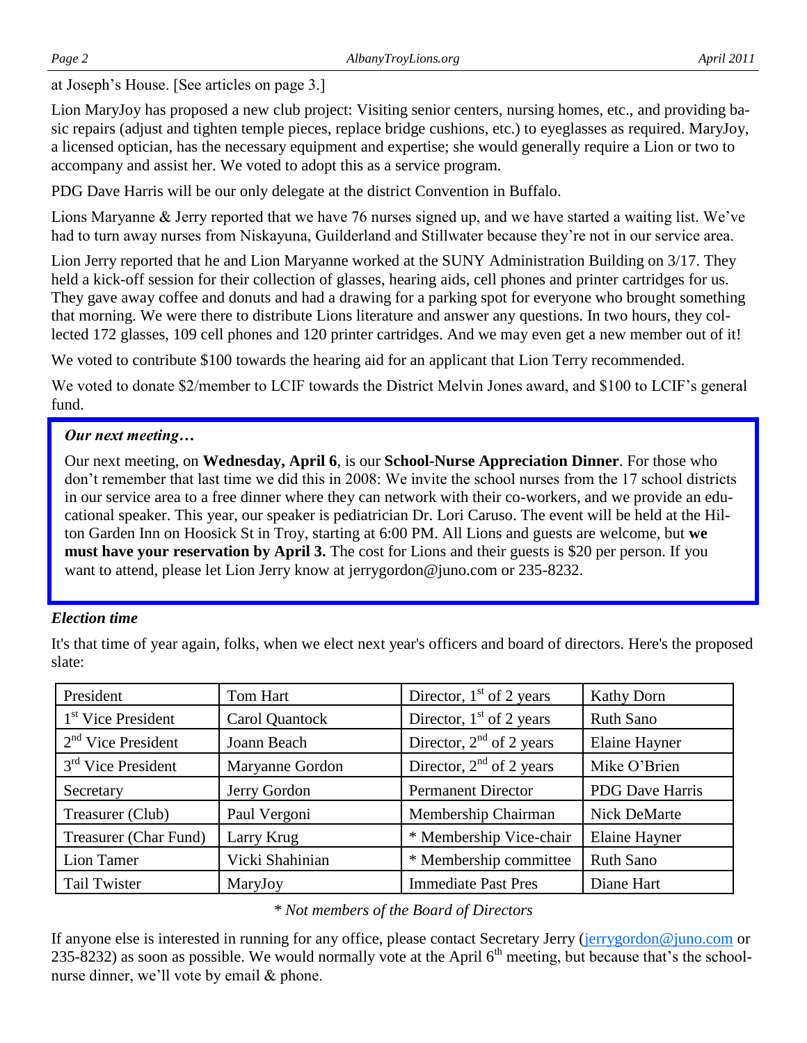at Joseph's House. [See articles on page 3.]

Lion MaryJoy has proposed a new club project: Visiting senior centers, nursing homes, etc., and providing basic repairs (adjust and tighten temple pieces, replace bridge cushions, etc.) to eyeglasses as required. MaryJoy, a licensed optician, has the necessary equipment and expertise; she would generally require a Lion or two to accompany and assist her. We voted to adopt this as a service program.

PDG Dave Harris will be our only delegate at the district Convention in Buffalo.

Lions Maryanne & Jerry reported that we have 76 nurses signed up, and we have started a waiting list. We've had to turn away nurses from Niskayuna, Guilderland and Stillwater because they're not in our service area.

Lion Jerry reported that he and Lion Maryanne worked at the SUNY Administration Building on 3/17. They held a kick-off session for their collection of glasses, hearing aids, cell phones and printer cartridges for us. They gave away coffee and donuts and had a drawing for a parking spot for everyone who brought something that morning. We were there to distribute Lions literature and answer any questions. In two hours, they collected 172 glasses, 109 cell phones and 120 printer cartridges. And we may even get a new member out of it!

We voted to contribute \$100 towards the hearing aid for an applicant that Lion Terry recommended.

We voted to donate \$2/member to LCIF towards the District Melvin Jones award, and \$100 to LCIF's general fund.

#### *Our next meeting…*

Our next meeting, on **Wednesday, April 6**, is our **School-Nurse Appreciation Dinner**. For those who don't remember that last time we did this in 2008: We invite the school nurses from the 17 school districts in our service area to a free dinner where they can network with their co-workers, and we provide an educational speaker. This year, our speaker is pediatrician Dr. Lori Caruso. The event will be held at the Hilton Garden Inn on Hoosick St in Troy, starting at 6:00 PM. All Lions and guests are welcome, but **we must have your reservation by April 3.** The cost for Lions and their guests is \$20 per person. If you want to attend, please let Lion Jerry know at jerrygordon@juno.com or 235-8232.

#### *Election time*

It's that time of year again, folks, when we elect next year's officers and board of directors. Here's the proposed slate:

| President                      | Tom Hart        | Director, $1st$ of 2 years | <b>Kathy Dorn</b>      |
|--------------------------------|-----------------|----------------------------|------------------------|
| 1 <sup>st</sup> Vice President | Carol Quantock  | Director, $1st$ of 2 years | <b>Ruth Sano</b>       |
| $2nd$ Vice President           | Joann Beach     | Director, $2nd$ of 2 years | <b>Elaine Hayner</b>   |
| $3rd$ Vice President           | Maryanne Gordon | Director, $2nd$ of 2 years | Mike O'Brien           |
| Secretary                      | Jerry Gordon    | <b>Permanent Director</b>  | <b>PDG</b> Dave Harris |
| Treasurer (Club)               | Paul Vergoni    | Membership Chairman        | <b>Nick DeMarte</b>    |
| Treasurer (Char Fund)          | Larry Krug      | * Membership Vice-chair    | Elaine Hayner          |
| Lion Tamer                     | Vicki Shahinian | * Membership committee     | <b>Ruth Sano</b>       |
| <b>Tail Twister</b>            | MaryJoy         | <b>Immediate Past Pres</b> | Diane Hart             |

#### *\* Not members of the Board of Directors*

If anyone else is interested in running for any office, please contact Secretary Jerry ([jerrygordon@juno.com](mailto:jerrygordon@juno.com) or 235-8232) as soon as possible. We would normally vote at the April  $6<sup>th</sup>$  meeting, but because that's the schoolnurse dinner, we'll vote by email & phone.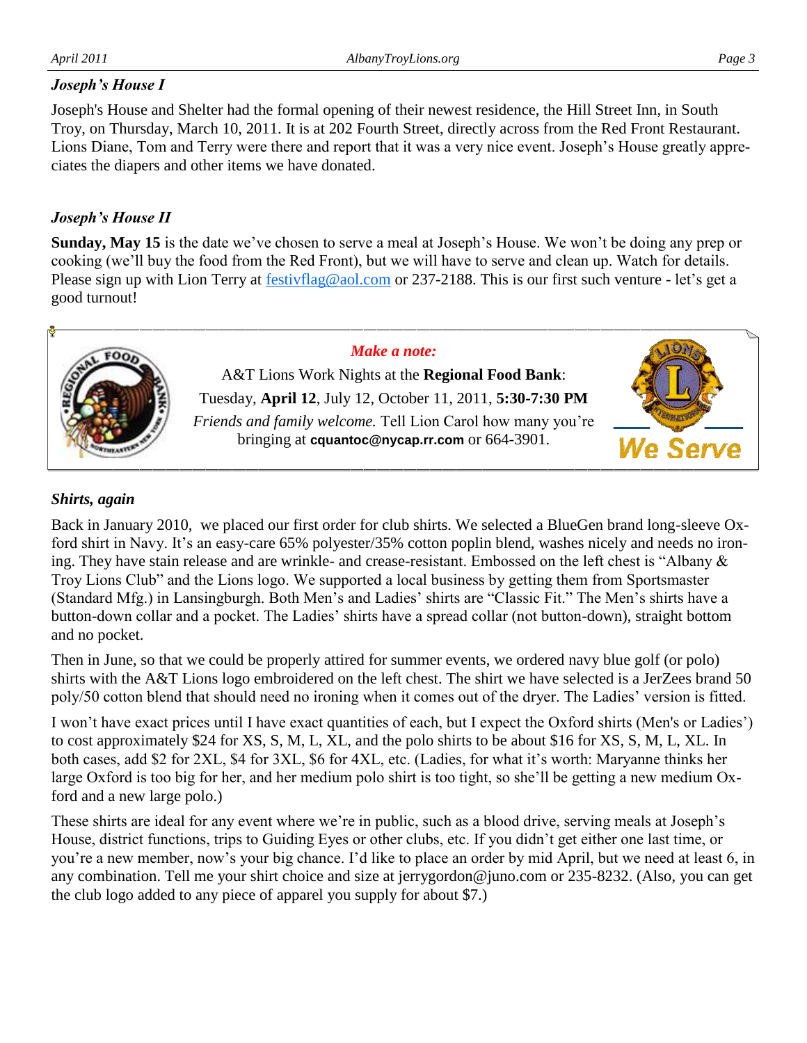#### *Joseph's House I*

Joseph's House and Shelter had the formal opening of their newest residence, the Hill Street Inn, in South Troy, on Thursday, March 10, 2011. It is at 202 Fourth Street, directly across from the Red Front Restaurant. Lions Diane, Tom and Terry were there and report that it was a very nice event. Joseph's House greatly appreciates the diapers and other items we have donated.

#### *Joseph's House II*

**Sunday, May 15** is the date we've chosen to serve a meal at Joseph's House. We won't be doing any prep or cooking (we'll buy the food from the Red Front), but we will have to serve and clean up. Watch for details. Please sign up with Lion Terry at **[festivflag@aol.com](mailto:festivflag@aol.com)** or 237-2188. This is our first such venture - let's get a good turnout!



#### *Shirts, again*

Back in January 2010, we placed our first order for club shirts. We selected a BlueGen brand long-sleeve Oxford shirt in Navy. It's an easy-care 65% polyester/35% cotton poplin blend, washes nicely and needs no ironing. They have stain release and are wrinkle- and crease-resistant. Embossed on the left chest is "Albany & Troy Lions Club" and the Lions logo. We supported a local business by getting them from Sportsmaster (Standard Mfg.) in Lansingburgh. Both Men's and Ladies' shirts are "Classic Fit." The Men's shirts have a button-down collar and a pocket. The Ladies' shirts have a spread collar (not button-down), straight bottom and no pocket.

Then in June, so that we could be properly attired for summer events, we ordered navy blue golf (or polo) shirts with the A&T Lions logo embroidered on the left chest. The shirt we have selected is a JerZees brand 50 poly/50 cotton blend that should need no ironing when it comes out of the dryer. The Ladies' version is fitted.

I won't have exact prices until I have exact quantities of each, but I expect the Oxford shirts (Men's or Ladies') to cost approximately \$24 for XS, S, M, L, XL, and the polo shirts to be about \$16 for XS, S, M, L, XL. In both cases, add \$2 for 2XL, \$4 for 3XL, \$6 for 4XL, etc. (Ladies, for what it's worth: Maryanne thinks her large Oxford is too big for her, and her medium polo shirt is too tight, so she'll be getting a new medium Oxford and a new large polo.)

These shirts are ideal for any event where we're in public, such as a blood drive, serving meals at Joseph's House, district functions, trips to Guiding Eyes or other clubs, etc. If you didn't get either one last time, or you're a new member, now's your big chance. I'd like to place an order by mid April, but we need at least 6, in any combination. Tell me your shirt choice and size at jerrygordon@juno.com or 235-8232. (Also, you can get the club logo added to any piece of apparel you supply for about \$7.)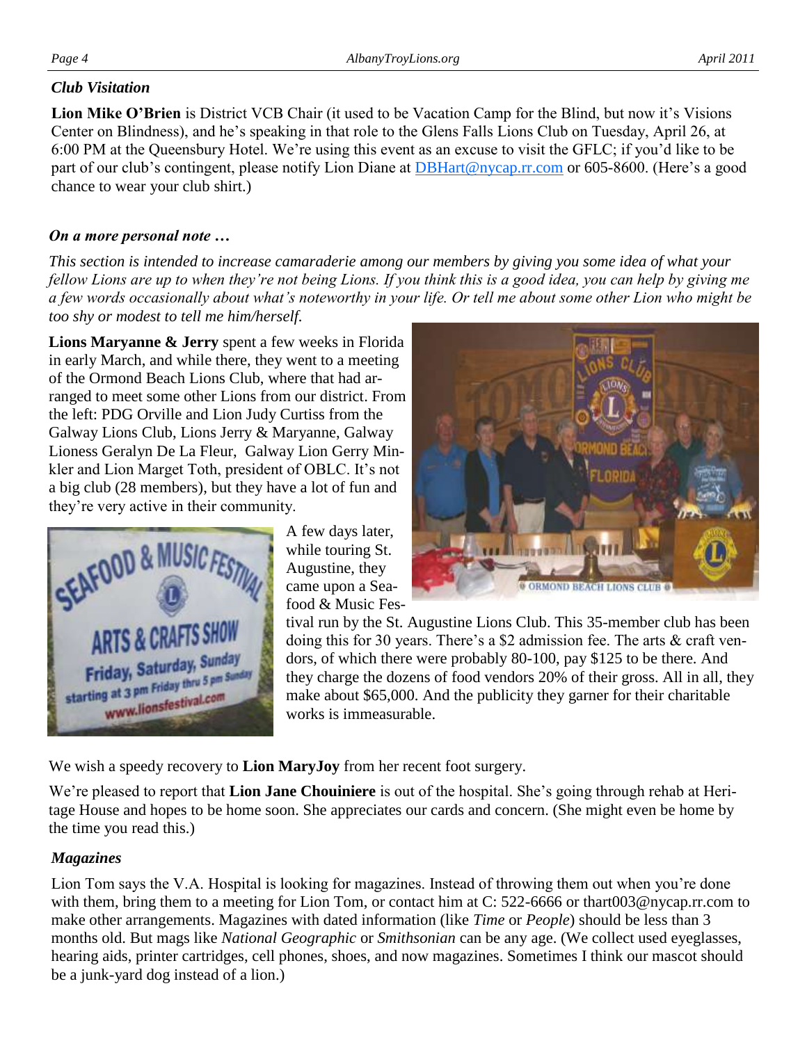#### *Club Visitation*

**Lion Mike O'Brien** is District VCB Chair (it used to be Vacation Camp for the Blind, but now it's Visions Center on Blindness), and he's speaking in that role to the Glens Falls Lions Club on Tuesday, April 26, at 6:00 PM at the Queensbury Hotel. We're using this event as an excuse to visit the GFLC; if you'd like to be part of our club's contingent, please notify Lion Diane at **[DBHart@nycap.rr.com](mailto:DBHart@nycap.rr.com)** or 605-8600. (Here's a good chance to wear your club shirt.)

#### *On a more personal note …*

*This section is intended to increase camaraderie among our members by giving you some idea of what your fellow Lions are up to when they're not being Lions. If you think this is a good idea, you can help by giving me a few words occasionally about what's noteworthy in your life. Or tell me about some other Lion who might be too shy or modest to tell me him/herself.*

**Lions Maryanne & Jerry** spent a few weeks in Florida in early March, and while there, they went to a meeting of the Ormond Beach Lions Club, where that had arranged to meet some other Lions from our district. From the left: PDG Orville and Lion Judy Curtiss from the Galway Lions Club, Lions Jerry & Maryanne, Galway Lioness Geralyn De La Fleur, Galway Lion Gerry Minkler and Lion Marget Toth, president of OBLC. It's not a big club (28 members), but they have a lot of fun and they're very active in their community.



A few days later, while touring St. Augustine, they came upon a Seafood & Music Fes-



tival run by the St. Augustine Lions Club. This 35-member club has been doing this for 30 years. There's a \$2 admission fee. The arts & craft vendors, of which there were probably 80-100, pay \$125 to be there. And they charge the dozens of food vendors 20% of their gross. All in all, they make about \$65,000. And the publicity they garner for their charitable works is immeasurable.

We wish a speedy recovery to **Lion MaryJoy** from her recent foot surgery.

We're pleased to report that **Lion Jane Chouiniere** is out of the hospital. She's going through rehab at Heritage House and hopes to be home soon. She appreciates our cards and concern. (She might even be home by the time you read this.)

#### *Magazines*

Lion Tom says the V.A. Hospital is looking for magazines. Instead of throwing them out when you're done with them, bring them to a meeting for Lion Tom, or contact him at C: 522-6666 or thart003@nycap.rr.com to make other arrangements. Magazines with dated information (like *Time* or *People*) should be less than 3 months old. But mags like *National Geographic* or *Smithsonian* can be any age. (We collect used eyeglasses, hearing aids, printer cartridges, cell phones, shoes, and now magazines. Sometimes I think our mascot should be a junk-yard dog instead of a lion.)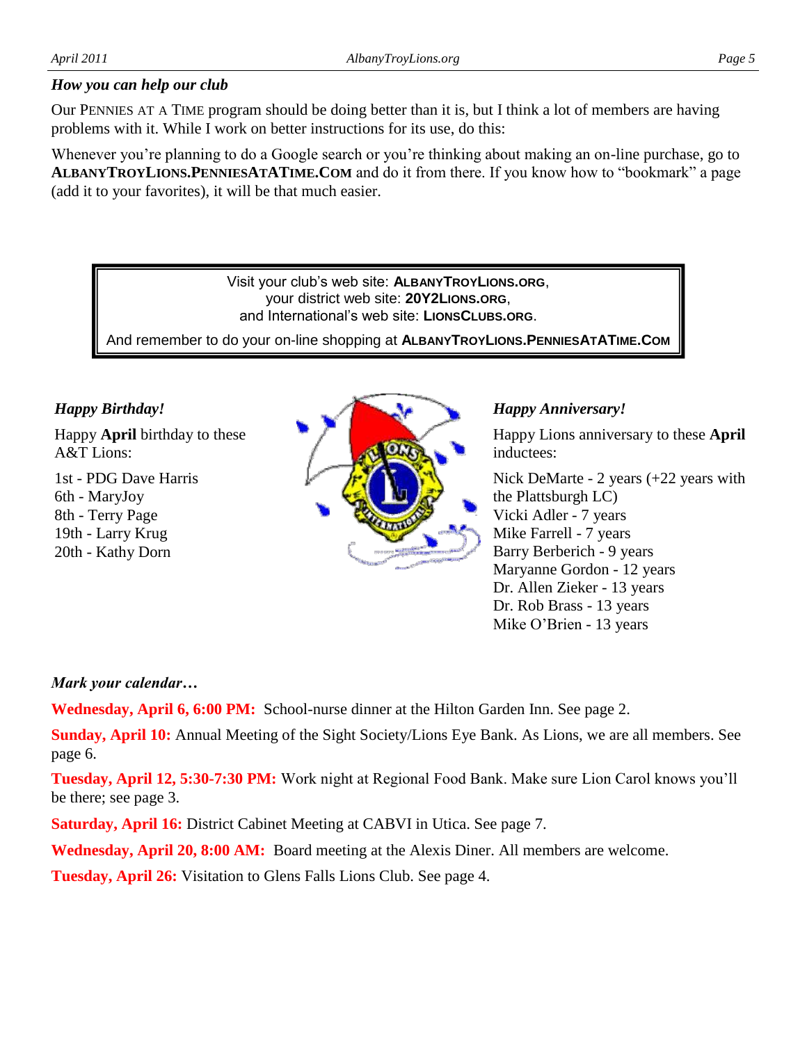#### *How you can help our club*

Our PENNIES AT A TIME program should be doing better than it is, but I think a lot of members are having problems with it. While I work on better instructions for its use, do this:

Whenever you're planning to do a Google search or you're thinking about making an on-line purchase, go to **ALBANYTROYLIONS.PENNIESATATIME.COM** and do it from there. If you know how to "bookmark" a page (add it to your favorites), it will be that much easier.

> Visit your club's web site: **ALBANYTROYLIONS.ORG**, your district web site: **20Y2LIONS.ORG**, and International's web site: **LIONSCLUBS.ORG**.

And remember to do your on-line shopping at **ALBANYTROYLIONS.PENNIESATATIME.COM**

#### *Happy Birthday!*

Happy **April** birthday to these A&T Lions:

1st - PDG Dave Harris 6th - MaryJoy 8th - Terry Page 19th - Larry Krug 20th - Kathy Dorn



#### *Happy Anniversary!*

Happy Lions anniversary to these **April**  inductees:

Nick DeMarte - 2 years (+22 years with the Plattsburgh LC) Vicki Adler - 7 years Mike Farrell - 7 years Barry Berberich - 9 years Maryanne Gordon - 12 years Dr. Allen Zieker - 13 years Dr. Rob Brass - 13 years Mike O'Brien - 13 years

#### *Mark your calendar…*

**Wednesday, April 6, 6:00 PM:** School-nurse dinner at the Hilton Garden Inn. See page 2.

**Sunday, April 10:** Annual Meeting of the Sight Society/Lions Eye Bank. As Lions, we are all members. See page 6.

**Tuesday, April 12, 5:30-7:30 PM:** Work night at Regional Food Bank. Make sure Lion Carol knows you'll be there; see page 3.

**Saturday, April 16:** District Cabinet Meeting at CABVI in Utica. See page 7.

**Wednesday, April 20, 8:00 AM:** Board meeting at the Alexis Diner. All members are welcome.

**Tuesday, April 26:** Visitation to Glens Falls Lions Club. See page 4.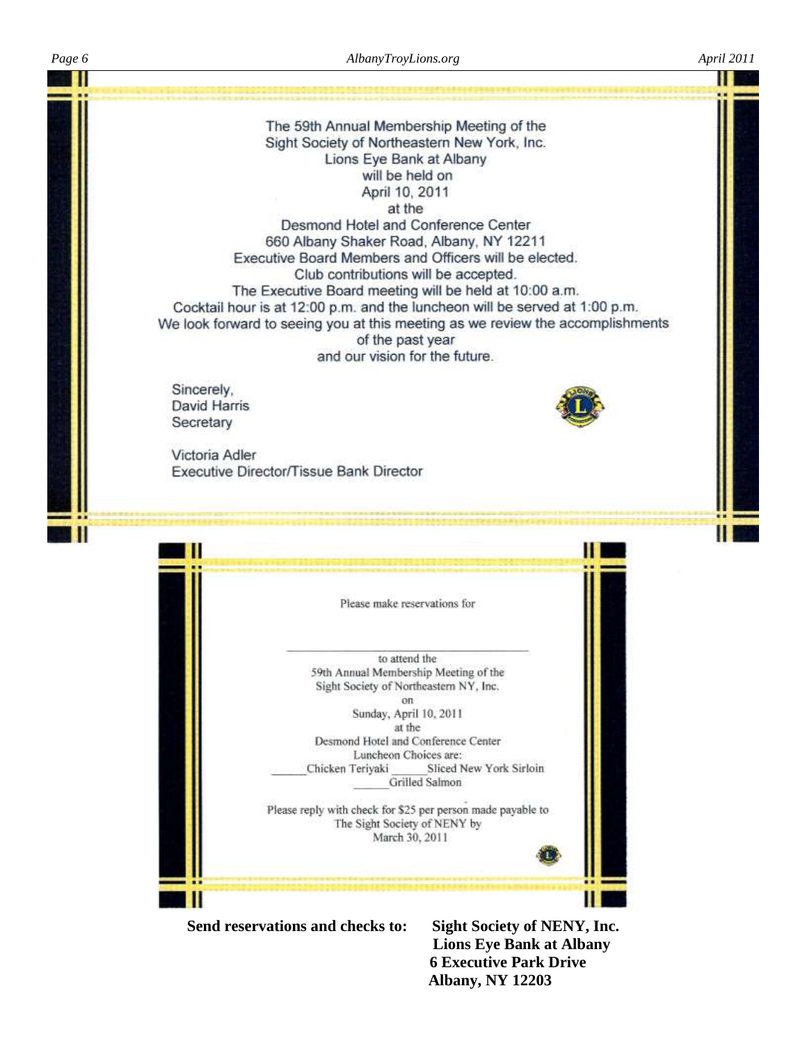

 **6 Executive Park Drive Albany, NY 12203**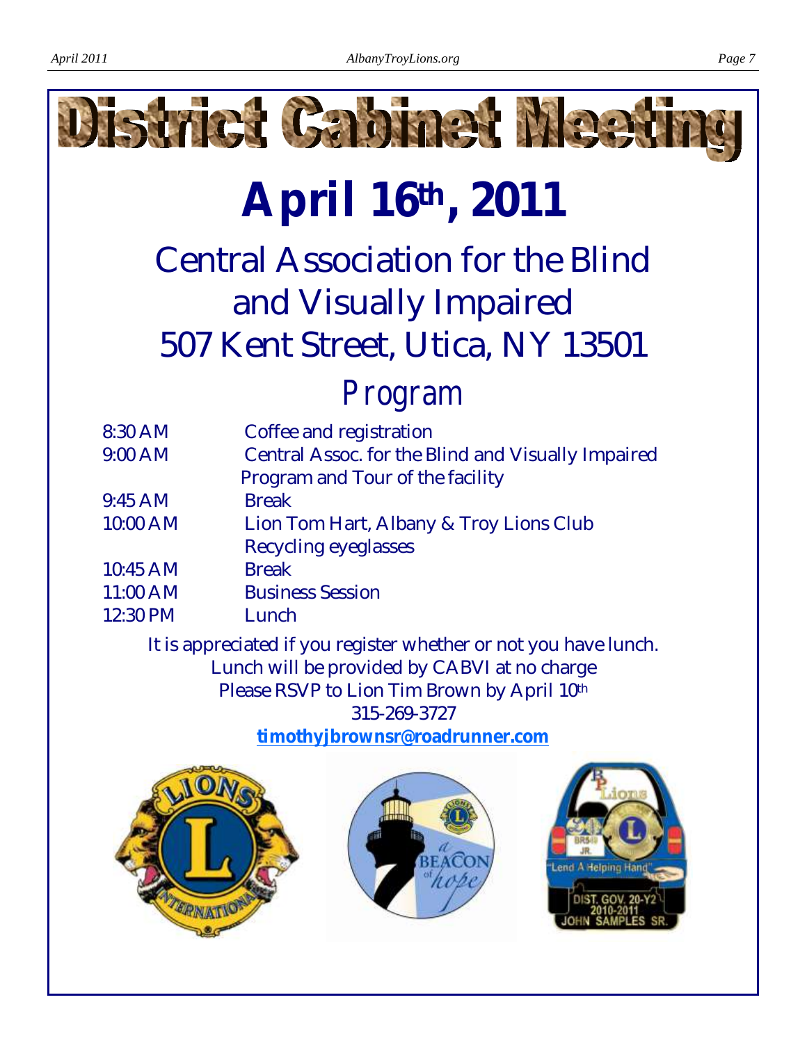

# **April 16th, 2011**

Central Association for the Blind and Visually Impaired 507 Kent Street, Utica, NY 13501

## *Program*

| 8:30 AM   | Coffee and registration                                                                                         |
|-----------|-----------------------------------------------------------------------------------------------------------------|
| $9:00$ AM | Central Assoc. for the Blind and Visually Impaired                                                              |
|           | Program and Tour of the facility                                                                                |
| $9:45$ AM | <b>Break</b>                                                                                                    |
| 10:00 AM  | Lion Tom Hart, Albany & Troy Lions Club                                                                         |
|           | Recycling eyeglasses                                                                                            |
| 10:45 AM  | <b>Break</b>                                                                                                    |
| 11:00 AM  | <b>Business Session</b>                                                                                         |
| 12:30 PM  | Lunch                                                                                                           |
|           | the contract of the contract of the contract of the contract of the contract of the contract of the contract of |

It is appreciated if you register whether or not you have lunch. Lunch will be provided by CABVI at no charge Please RSVP to Lion Tim Brown by April 10th 315-269-3727

**[timothyjbrownsr@roadrunner.com](mailto:timothyjbrownsr@roadrunner.com)**